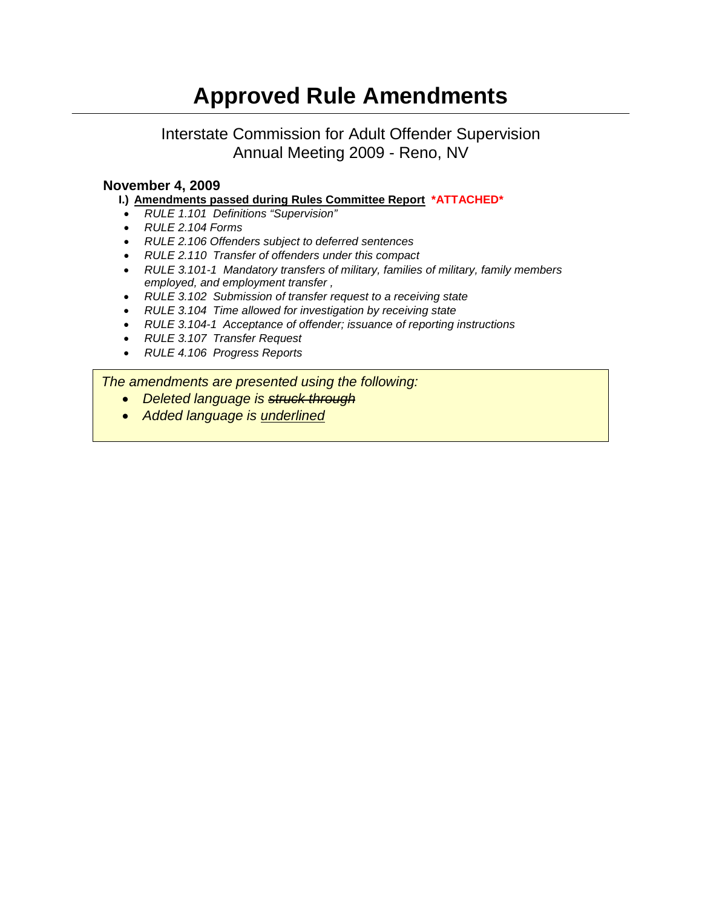# **Approved Rule Amendments**

# Interstate Commission for Adult Offender Supervision Annual Meeting 2009 - Reno, NV

#### **November 4, 2009**

- **I.) [Amendments passed during Rules Committee Report](#page-1-0) \*ATTACHED\***
- *RULE 1.101 Definitions "Supervision"*
- *RULE 2.104 Forms*
- *RULE 2.106 Offenders subject to deferred sentences*
- *RULE 2.110 Transfer of offenders under this compact*
- *RULE 3.101-1 Mandatory transfers of military, families of military, family members employed, and employment transfer ,*
- *RULE 3.102 Submission of transfer request to a receiving state*
- *RULE 3.104 Time allowed for investigation by receiving state*
- *RULE 3.104-1 Acceptance of offender; issuance of reporting instructions*
- *RULE 3.107 Transfer Request*
- *RULE 4.106 Progress Reports*

*The amendments are presented using the following:*

- *Deleted language is struck through*
- *RULE 1.101 Definitions Added language is underlined*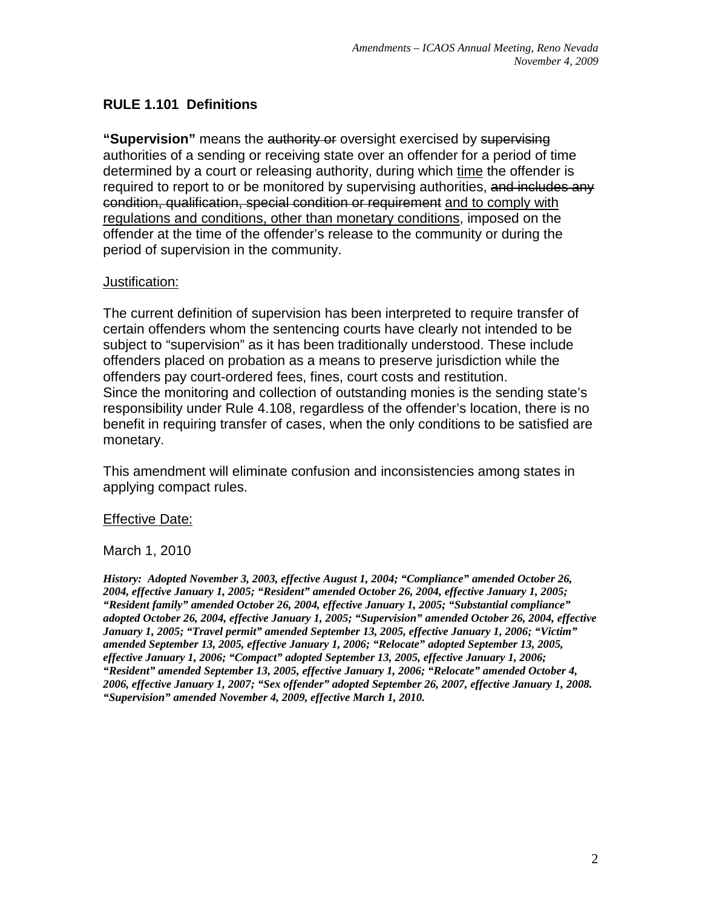# <span id="page-1-0"></span>**RULE 1.101 Definitions**

**"Supervision"** means the authority or oversight exercised by supervising authorities of a sending or receiving state over an offender for a period of time determined by a court or releasing authority, during which time the offender is required to report to or be monitored by supervising authorities, and includes any condition, qualification, special condition or requirement and to comply with regulations and conditions, other than monetary conditions, imposed on the offender at the time of the offender's release to the community or during the period of supervision in the community.

## Justification:

The current definition of supervision has been interpreted to require transfer of certain offenders whom the sentencing courts have clearly not intended to be subject to "supervision" as it has been traditionally understood. These include offenders placed on probation as a means to preserve jurisdiction while the offenders pay court-ordered fees, fines, court costs and restitution. Since the monitoring and collection of outstanding monies is the sending state's responsibility under Rule 4.108, regardless of the offender's location, there is no benefit in requiring transfer of cases, when the only conditions to be satisfied are monetary.

This amendment will eliminate confusion and inconsistencies among states in applying compact rules.

## Effective Date:

#### March 1, 2010

*History: Adopted November 3, 2003, effective August 1, 2004; "Compliance" amended October 26, 2004, effective January 1, 2005; "Resident" amended October 26, 2004, effective January 1, 2005; "Resident family" amended October 26, 2004, effective January 1, 2005; "Substantial compliance" adopted October 26, 2004, effective January 1, 2005; "Supervision" amended October 26, 2004, effective January 1, 2005; "Travel permit" amended September 13, 2005, effective January 1, 2006; "Victim" amended September 13, 2005, effective January 1, 2006; "Relocate" adopted September 13, 2005, effective January 1, 2006; "Compact" adopted September 13, 2005, effective January 1, 2006; "Resident" amended September 13, 2005, effective January 1, 2006; "Relocate" amended October 4, 2006, effective January 1, 2007; "Sex offender" adopted September 26, 2007, effective January 1, 2008. "Supervision" amended November 4, 2009, effective March 1, 2010.*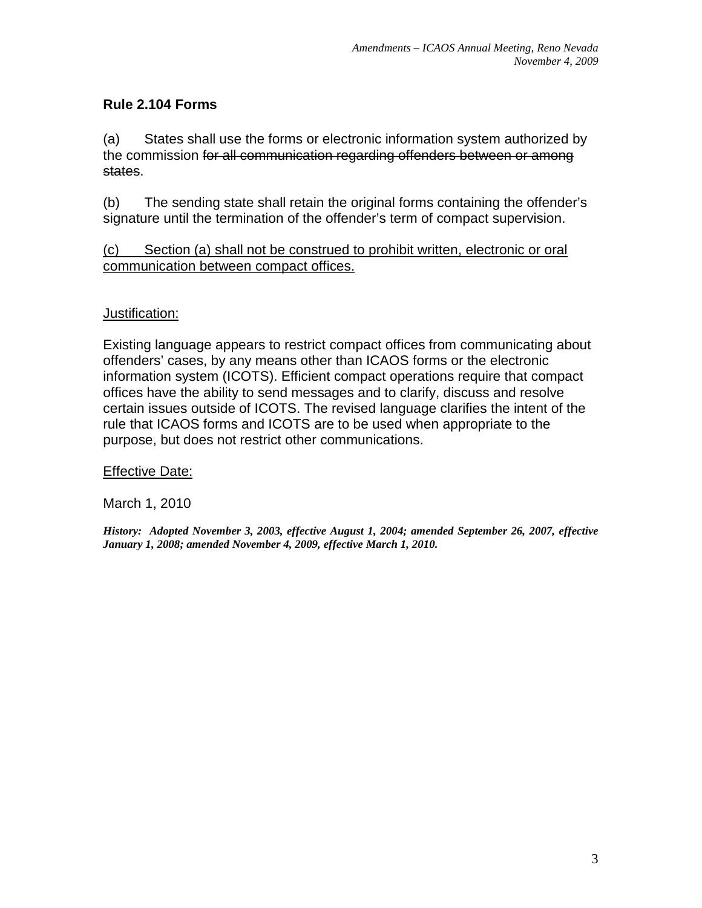# **Rule 2.104 Forms**

(a) States shall use the forms or electronic information system authorized by the commission for all communication regarding offenders between or among states.

(b) The sending state shall retain the original forms containing the offender's signature until the termination of the offender's term of compact supervision.

# (c) Section (a) shall not be construed to prohibit written, electronic or oral communication between compact offices.

# **Justification:**

Existing language appears to restrict compact offices from communicating about offenders' cases, by any means other than ICAOS forms or the electronic information system (ICOTS). Efficient compact operations require that compact offices have the ability to send messages and to clarify, discuss and resolve certain issues outside of ICOTS. The revised language clarifies the intent of the rule that ICAOS forms and ICOTS are to be used when appropriate to the purpose, but does not restrict other communications.

## Effective Date:

March 1, 2010

*History: Adopted November 3, 2003, effective August 1, 2004; amended September 26, 2007, effective January 1, 2008; amended November 4, 2009, effective March 1, 2010.*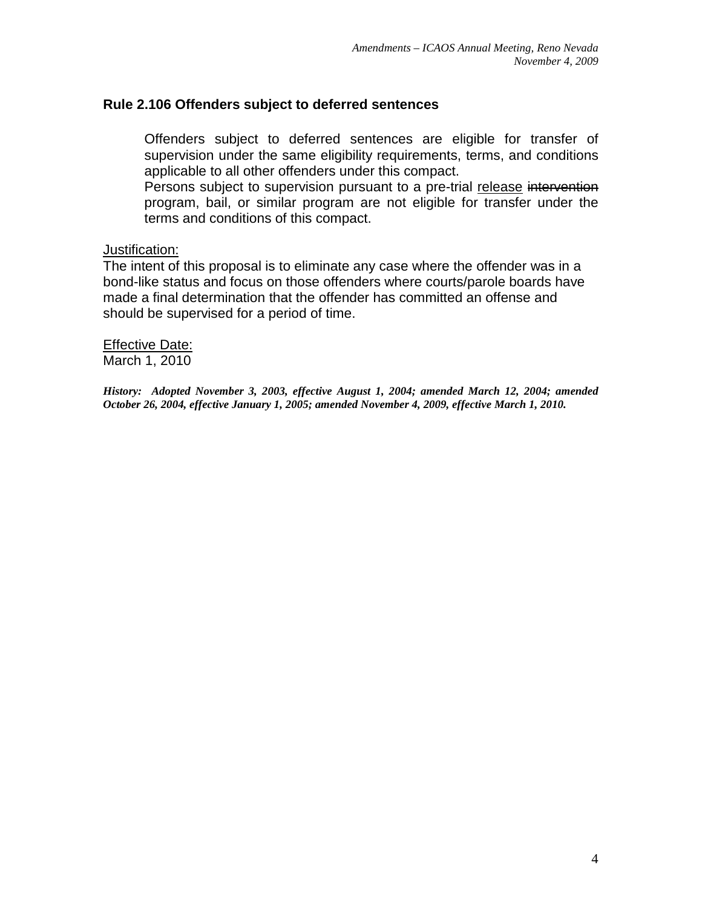#### **Rule 2.106 Offenders subject to deferred sentences**

Offenders subject to deferred sentences are eligible for transfer of supervision under the same eligibility requirements, terms, and conditions applicable to all other offenders under this compact.

Persons subject to supervision pursuant to a pre-trial release intervention program, bail, or similar program are not eligible for transfer under the terms and conditions of this compact.

#### Justification:

The intent of this proposal is to eliminate any case where the offender was in a bond-like status and focus on those offenders where courts/parole boards have made a final determination that the offender has committed an offense and should be supervised for a period of time.

**Effective Date:** March 1, 2010

*History: Adopted November 3, 2003, effective August 1, 2004; amended March 12, 2004; amended October 26, 2004, effective January 1, 2005; amended November 4, 2009, effective March 1, 2010.*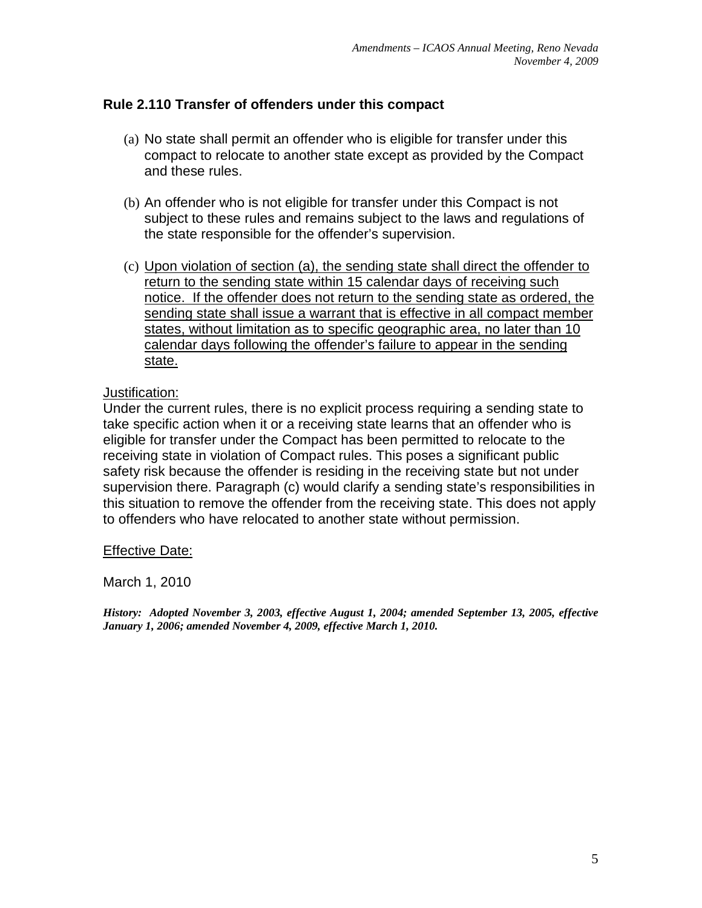# **Rule 2.110 Transfer of offenders under this compact**

- (a) No state shall permit an offender who is eligible for transfer under this compact to relocate to another state except as provided by the Compact and these rules.
- (b) An offender who is not eligible for transfer under this Compact is not subject to these rules and remains subject to the laws and regulations of the state responsible for the offender's supervision.
- (c) Upon violation of section (a), the sending state shall direct the offender to return to the sending state within 15 calendar days of receiving such notice. If the offender does not return to the sending state as ordered, the sending state shall issue a warrant that is effective in all compact member states, without limitation as to specific geographic area, no later than 10 calendar days following the offender's failure to appear in the sending state.

#### Justification:

Under the current rules, there is no explicit process requiring a sending state to take specific action when it or a receiving state learns that an offender who is eligible for transfer under the Compact has been permitted to relocate to the receiving state in violation of Compact rules. This poses a significant public safety risk because the offender is residing in the receiving state but not under supervision there. Paragraph (c) would clarify a sending state's responsibilities in this situation to remove the offender from the receiving state. This does not apply to offenders who have relocated to another state without permission.

## Effective Date:

March 1, 2010

*History: Adopted November 3, 2003, effective August 1, 2004; amended September 13, 2005, effective January 1, 2006; amended November 4, 2009, effective March 1, 2010.*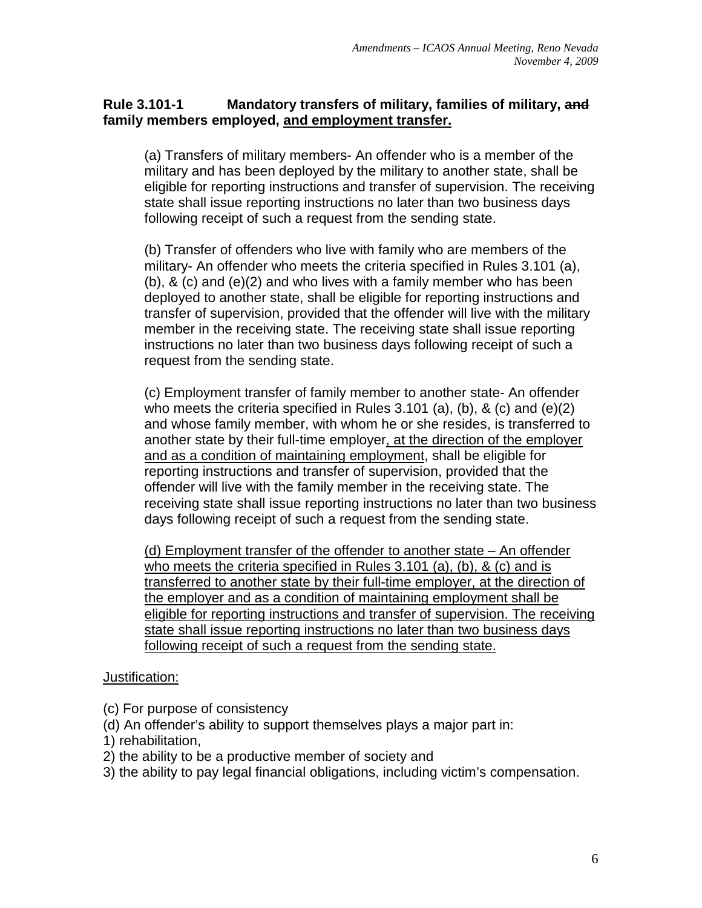## **Rule 3.101-1 Mandatory transfers of military, families of military, and family members employed, and employment transfer.**

(a) Transfers of military members- An offender who is a member of the military and has been deployed by the military to another state, shall be eligible for reporting instructions and transfer of supervision. The receiving state shall issue reporting instructions no later than two business days following receipt of such a request from the sending state.

(b) Transfer of offenders who live with family who are members of the military- An offender who meets the criteria specified in Rules 3.101 (a), (b), & (c) and (e)(2) and who lives with a family member who has been deployed to another state, shall be eligible for reporting instructions and transfer of supervision, provided that the offender will live with the military member in the receiving state. The receiving state shall issue reporting instructions no later than two business days following receipt of such a request from the sending state.

(c) Employment transfer of family member to another state- An offender who meets the criteria specified in Rules 3.101 (a), (b), & (c) and (e)(2) and whose family member, with whom he or she resides, is transferred to another state by their full-time employer, at the direction of the employer and as a condition of maintaining employment, shall be eligible for reporting instructions and transfer of supervision, provided that the offender will live with the family member in the receiving state. The receiving state shall issue reporting instructions no later than two business days following receipt of such a request from the sending state.

(d) Employment transfer of the offender to another state – An offender who meets the criteria specified in Rules 3.101 (a), (b), & (c) and is transferred to another state by their full-time employer, at the direction of the employer and as a condition of maintaining employment shall be eligible for reporting instructions and transfer of supervision. The receiving state shall issue reporting instructions no later than two business days following receipt of such a request from the sending state.

## Justification:

(c) For purpose of consistency

(d) An offender's ability to support themselves plays a major part in:

- 1) rehabilitation,
- 2) the ability to be a productive member of society and

3) the ability to pay legal financial obligations, including victim's compensation.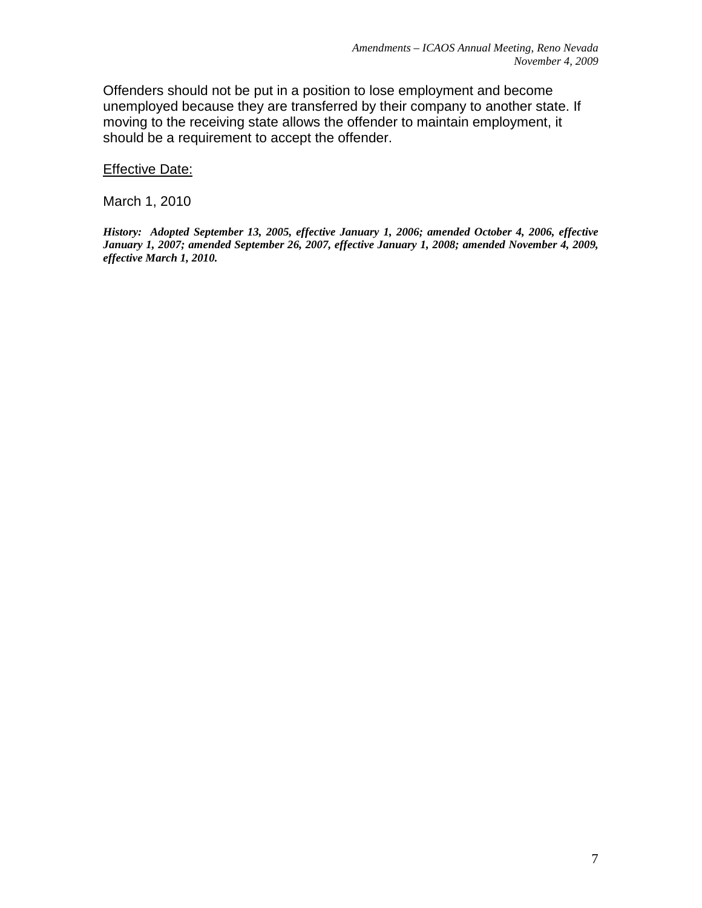Offenders should not be put in a position to lose employment and become unemployed because they are transferred by their company to another state. If moving to the receiving state allows the offender to maintain employment, it should be a requirement to accept the offender.

Effective Date:

March 1, 2010

*History: Adopted September 13, 2005, effective January 1, 2006; amended October 4, 2006, effective January 1, 2007; amended September 26, 2007, effective January 1, 2008; amended November 4, 2009, effective March 1, 2010.*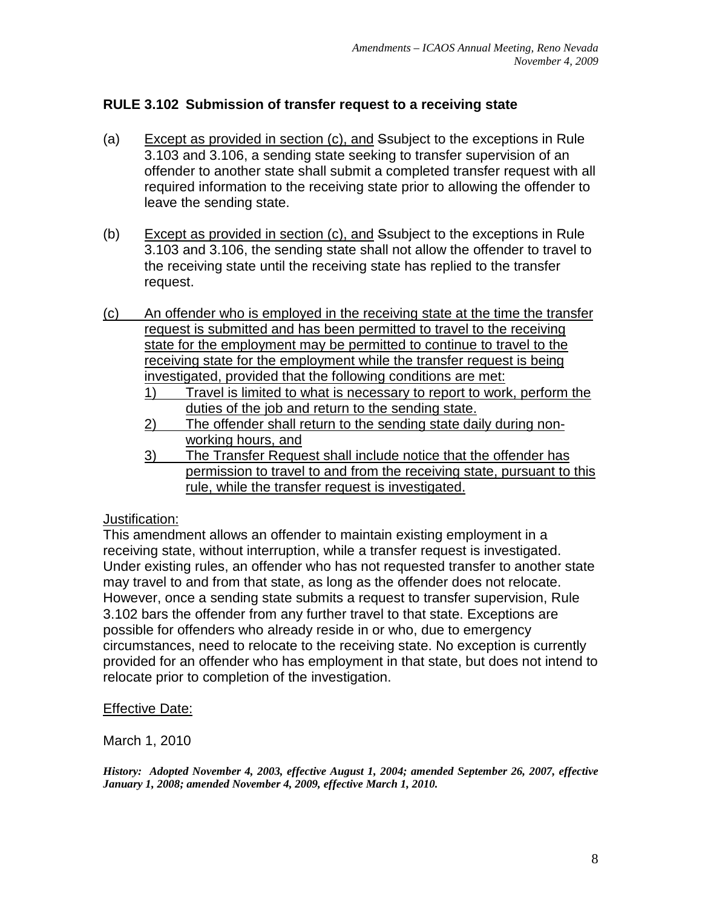# **RULE 3.102 Submission of transfer request to a receiving state**

- (a) Except as provided in section (c), and Ssubject to the exceptions in Rule 3.103 and 3.106, a sending state seeking to transfer supervision of an offender to another state shall submit a completed transfer request with all required information to the receiving state prior to allowing the offender to leave the sending state.
- (b) Except as provided in section (c), and Ssubject to the exceptions in Rule 3.103 and 3.106, the sending state shall not allow the offender to travel to the receiving state until the receiving state has replied to the transfer request.
- (c) An offender who is employed in the receiving state at the time the transfer request is submitted and has been permitted to travel to the receiving state for the employment may be permitted to continue to travel to the receiving state for the employment while the transfer request is being investigated, provided that the following conditions are met:
	- 1) Travel is limited to what is necessary to report to work, perform the duties of the job and return to the sending state.
	- 2) The offender shall return to the sending state daily during nonworking hours, and
	- 3) The Transfer Request shall include notice that the offender has permission to travel to and from the receiving state, pursuant to this rule, while the transfer request is investigated.

#### Justification:

This amendment allows an offender to maintain existing employment in a receiving state, without interruption, while a transfer request is investigated. Under existing rules, an offender who has not requested transfer to another state may travel to and from that state, as long as the offender does not relocate. However, once a sending state submits a request to transfer supervision, Rule 3.102 bars the offender from any further travel to that state. Exceptions are possible for offenders who already reside in or who, due to emergency circumstances, need to relocate to the receiving state. No exception is currently provided for an offender who has employment in that state, but does not intend to relocate prior to completion of the investigation.

#### Effective Date:

March 1, 2010

*History: Adopted November 4, 2003, effective August 1, 2004; amended September 26, 2007, effective January 1, 2008; amended November 4, 2009, effective March 1, 2010.*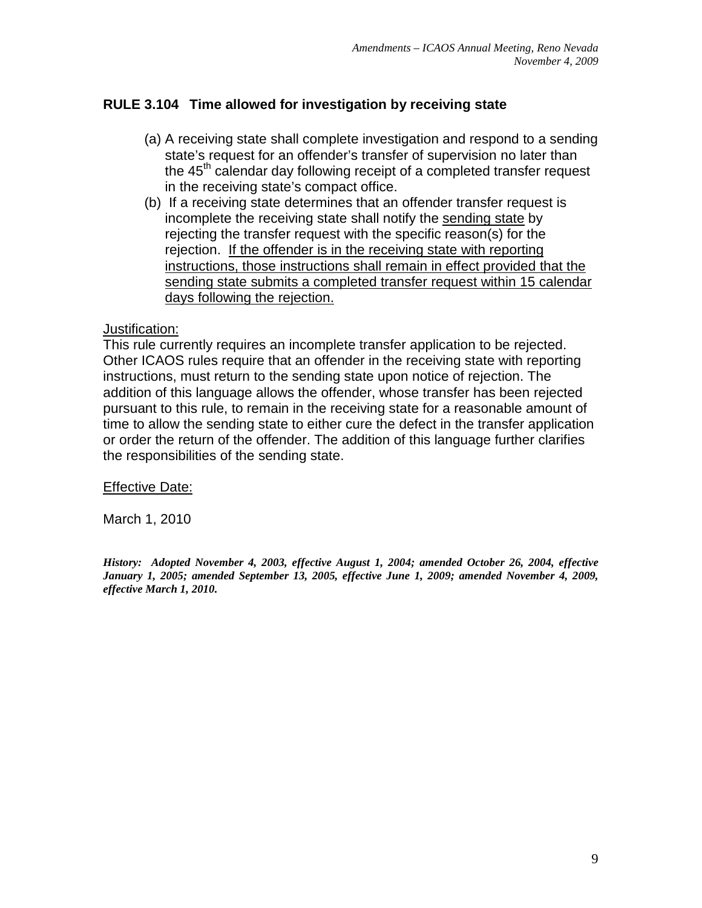# **RULE 3.104 Time allowed for investigation by receiving state**

- (a) A receiving state shall complete investigation and respond to a sending state's request for an offender's transfer of supervision no later than the 45<sup>th</sup> calendar day following receipt of a completed transfer request in the receiving state's compact office.
- (b) If a receiving state determines that an offender transfer request is incomplete the receiving state shall notify the sending state by rejecting the transfer request with the specific reason(s) for the rejection. If the offender is in the receiving state with reporting instructions, those instructions shall remain in effect provided that the sending state submits a completed transfer request within 15 calendar days following the rejection.

#### Justification:

This rule currently requires an incomplete transfer application to be rejected. Other ICAOS rules require that an offender in the receiving state with reporting instructions, must return to the sending state upon notice of rejection. The addition of this language allows the offender, whose transfer has been rejected pursuant to this rule, to remain in the receiving state for a reasonable amount of time to allow the sending state to either cure the defect in the transfer application or order the return of the offender. The addition of this language further clarifies the responsibilities of the sending state.

Effective Date:

March 1, 2010

*History: Adopted November 4, 2003, effective August 1, 2004; amended October 26, 2004, effective January 1, 2005; amended September 13, 2005, effective June 1, 2009; amended November 4, 2009, effective March 1, 2010.*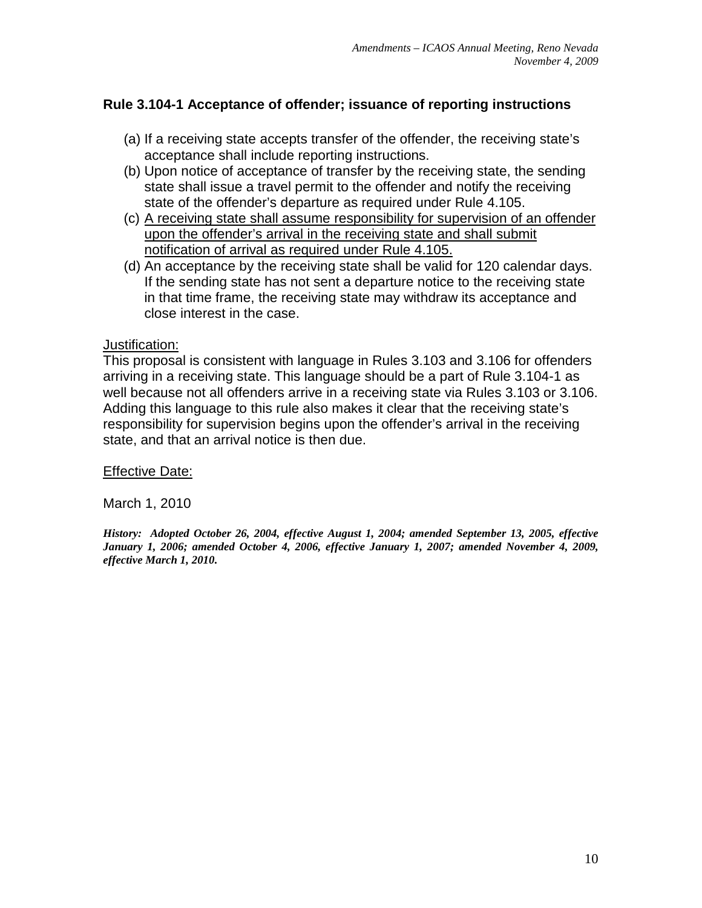# **Rule 3.104-1 Acceptance of offender; issuance of reporting instructions**

- (a) If a receiving state accepts transfer of the offender, the receiving state's acceptance shall include reporting instructions.
- (b) Upon notice of acceptance of transfer by the receiving state, the sending state shall issue a travel permit to the offender and notify the receiving state of the offender's departure as required under Rule 4.105.
- (c) A receiving state shall assume responsibility for supervision of an offender upon the offender's arrival in the receiving state and shall submit notification of arrival as required under Rule 4.105.
- (d) An acceptance by the receiving state shall be valid for 120 calendar days. If the sending state has not sent a departure notice to the receiving state in that time frame, the receiving state may withdraw its acceptance and close interest in the case.

#### **Justification:**

This proposal is consistent with language in Rules 3.103 and 3.106 for offenders arriving in a receiving state. This language should be a part of Rule 3.104-1 as well because not all offenders arrive in a receiving state via Rules 3.103 or 3.106. Adding this language to this rule also makes it clear that the receiving state's responsibility for supervision begins upon the offender's arrival in the receiving state, and that an arrival notice is then due.

## Effective Date:

March 1, 2010

*History: Adopted October 26, 2004, effective August 1, 2004; amended September 13, 2005, effective January 1, 2006; amended October 4, 2006, effective January 1, 2007; amended November 4, 2009, effective March 1, 2010.*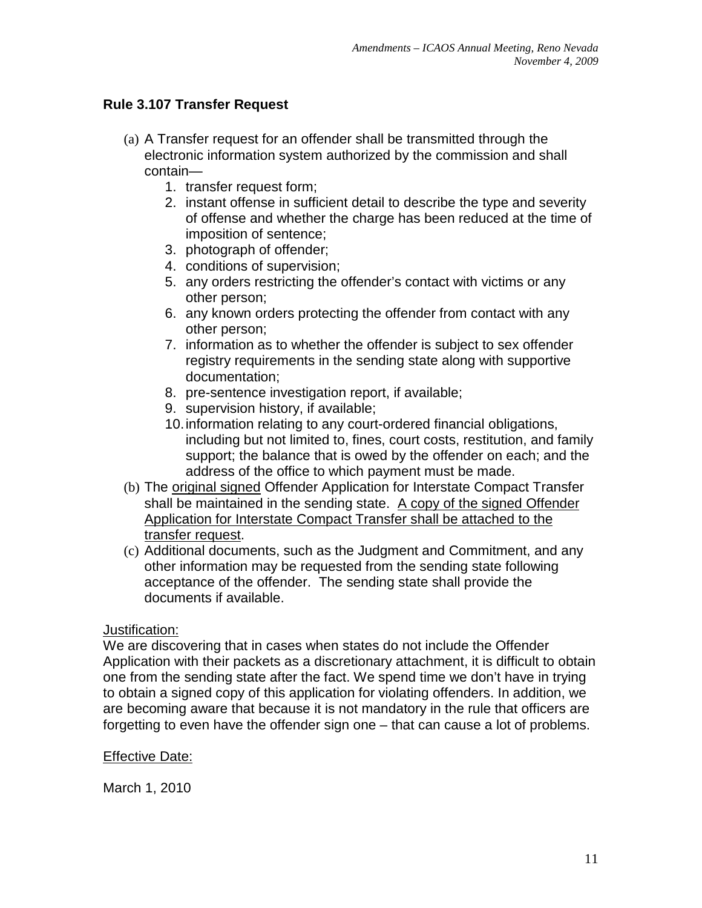# **Rule 3.107 Transfer Request**

- (a) A Transfer request for an offender shall be transmitted through the electronic information system authorized by the commission and shall contain—
	- 1. transfer request form;
	- 2. instant offense in sufficient detail to describe the type and severity of offense and whether the charge has been reduced at the time of imposition of sentence;
	- 3. photograph of offender;
	- 4. conditions of supervision;
	- 5. any orders restricting the offender's contact with victims or any other person;
	- 6. any known orders protecting the offender from contact with any other person;
	- 7. information as to whether the offender is subject to sex offender registry requirements in the sending state along with supportive documentation;
	- 8. pre-sentence investigation report, if available;
	- 9. supervision history, if available;
	- 10.information relating to any court-ordered financial obligations, including but not limited to, fines, court costs, restitution, and family support; the balance that is owed by the offender on each; and the address of the office to which payment must be made.
- (b) The original signed Offender Application for Interstate Compact Transfer shall be maintained in the sending state. A copy of the signed Offender Application for Interstate Compact Transfer shall be attached to the transfer request.
- (c) Additional documents, such as the Judgment and Commitment, and any other information may be requested from the sending state following acceptance of the offender. The sending state shall provide the documents if available.

#### Justification:

We are discovering that in cases when states do not include the Offender Application with their packets as a discretionary attachment, it is difficult to obtain one from the sending state after the fact. We spend time we don't have in trying to obtain a signed copy of this application for violating offenders. In addition, we are becoming aware that because it is not mandatory in the rule that officers are forgetting to even have the offender sign one – that can cause a lot of problems.

#### **Effective Date:**

March 1, 2010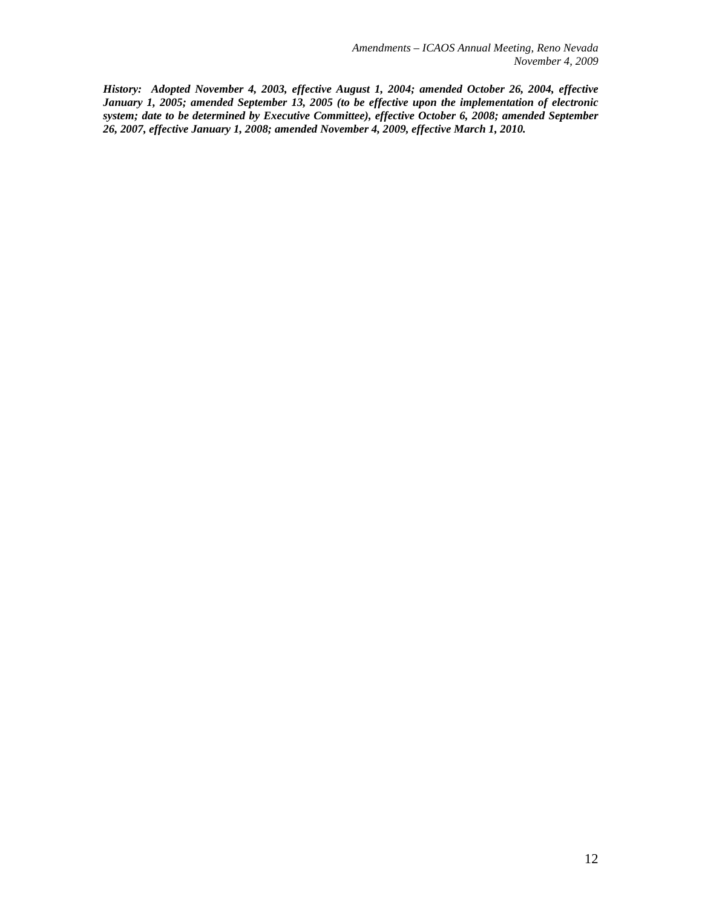*History: Adopted November 4, 2003, effective August 1, 2004; amended October 26, 2004, effective January 1, 2005; amended September 13, 2005 (to be effective upon the implementation of electronic system; date to be determined by Executive Committee), effective October 6, 2008; amended September 26, 2007, effective January 1, 2008; amended November 4, 2009, effective March 1, 2010.*